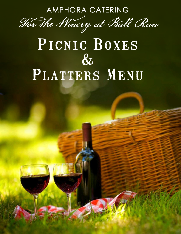AMPHORA CATERING



# PICNIC BOXES  $\&$ PLATTERS MENU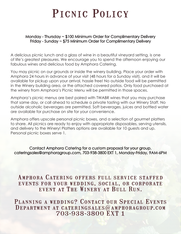## PICNIC POLICY

#### Monday - Thursday ~ \$100 Minimum Order for Complimentary Delivery Friday - Sunday ~ \$75 Minimum Order for Complimentary Delivery

A delicious picnic lunch and a glass of wine in a beautiful vineyard setting, is one of life's greatest pleasures. We encourage you to spend the afternoon enjoying our fabulous wines and delicious food by Amphora Catering.

You may picnic on our grounds or inside the winery building. Place your order with Amphora 24 hours in advance of your visit (48 hours for a Sunday visit), and it will be available for pickup upon your arrival, hassle free! No outside food will be permitted in the Winery building area, or the attached covered patios. Only food purchased at the winery from Amphora's Picnic Menu will be permitted in those spaces.

Amphora's picnic menus are best paired with TWABR wines that you may purchase that same day, or call ahead to schedule a private tasting with our Winery Staff. No outside alcoholic beverages are permitted. Soft beverages, juices and bottled water are available for purchase on site for your convenience.

Amphora offers upscale personal picnic boxes, and a selection of gourmet platters to share. All picnics are ready to enjoy with appropriate disposables, serving utensils, and delivery to the Winery! Platters options are available for 10 guests and up. Personal picnic boxes serve 1.

Contact Amphora Catering for a custom proposal for your group. cateringsales@amphoragroup.com, 703-938-3800 EXT 1, Monday-Friday, 9AM-6PM

### Amphora Catering offers full service staffed events for your wedding, social, or corporate event at The Winery at Bull Run.

PLANNING A WEDDING? CONTACT OUR SPECIAL EVENTS Department at cateringsales@amphoragroup.com 703-938-3800 EXT 1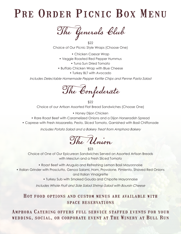## PRE ORDER PICNIC BOX MENU

The Generals Club

\$22 Choice of Our Picnic Style Wraps (Choose One)

- Chicken Caesar Wrap
- Veggie Roasted Red Pepper Hummus
	- Tuna Sun Dried Tomato
- Buffalo Chicken Wrap with Blue Cheese
	- Turkey BLT with Avocado

Includes Delectable Homemade Pepper Kettle Chips and Penne Pasta Salad

The Confederate

\$22 Choice of our Artisan Assorted Flat Bread Sandwiches (Choose One)

• Honey Dijon Chicken

- Rare Roast Beef with Caramelized Onions and a Dijon Horseradish Spread
- Caprese with Fresh Mozzarella, Pesto, Sliced Tomato, Garnished with Basil Chiffonade

Includes Potato Salad and a Bakery Treat from Amphora Bakery

The Union

\$23

Choice of One of Our Epicurean Sandwiches Served on Assorted Artisan Breads with Mesclun and a Fresh Sliced Tomato

• Roast Beef with Arugula and Refreshing Lemon Basil Mayonnaise

• Italian Grinder with Prosciutto, Genoa Salami, Ham, Provolone, Pimiento, Shaved Red Onions

and Italian Vinaigrette

• Turkey Sub with Smoked Gouda and Chipotle Mayonnaise

Includes Whole Fruit and Side Salad Shrimp Salad with Boursin Cheese

#### Hot food options and custom menus are available with space reservations

Amphora Catering offers full service staffed events for your wedding, social, or corporate event at The Winery at Bull Run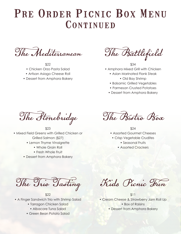## PRE ORDER PICNIC BOX MENU CONTINUED

The Mediterranean

\$22 • Chicken Orzo Pasta Salad

- Artisan Asiago Cheese Roll
- Dessert from Amphora Bakery

The Battlefield

\$34 • Amphora Mixed Grill with Chicken

- Asian Marinated Flank Steak • Old Bay Shrimp
- Balsamic Grilled Vegetables
- Parmesan Crusted Potatoes
- Dessert from Amphora Bakery

The Stonebridge

\$23 • Mixed Field Greens with Grilled Chicken or Grilled Salmon (\$27)

- Lemon Thyme Vinaigrette
	- Whole Grain Roll
	- Fresh Whole Fruit
- Dessert from Amphora Bakery

The Bistro Box

- \$24 • Assorted Gourmet Cheeses
	- Crisp Vegetable Crudites
		- Seasonal Fruits
		- Assorted Crackers

The Trio Tasting

\$22

- A Finger Sandwich Trio with Shrimp Salad
	- Tarragon Chicken Salad
	- Albacore Tuna Salad
	- Green Bean Potato Salad

Kids Picnic Fun

\$11 • Cream Cheese & Strawberry Jam Roll Up • Box of Raisins

• Dessert from Amphora Bakery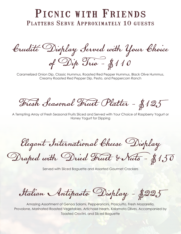### PICNIC WITH FRIENDS PLATTERS SERVE APPROXIMATELY 10 GUESTS

Crudité Display Served with Your Choice of Dip Trio - \$110

Caramelized Onion Dip, Classic Hummus, Roasted Red Pepper Hummus, Black Olive Hummus, Creamy Roasted Red Pepper Dip, Pesto, and Peppercorn Ranch

Fresh Seasonal Fruit Platter - \$125

A Tempting Array of Fresh Seasonal Fruits Sliced and Served with Your Choice of Raspberry Yogurt or Honey Yogurt for Dipping

Elegant International Cheese Display

Draped with Dried Fruit & Nuts - \$150

Served with Sliced Baguette and Assorted Gourmet Crackers

Italian Antipasto Display - \$225

Amazing Assortment of Genoa Salami, Pepperoncini, Prosciutto, Fresh Mozzarella, Provolone, Marinated Roasted Vegetables, Artichoke Hearts, Kalamata Olives. Accompanied by Toasted Crostini, and Sliced Baguette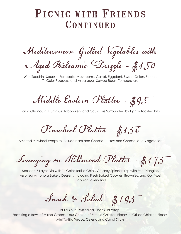### PICNIC WITH FRIENDS CONTINUED

Mediterranean Grilled Vegetables with Aged Balsamic Drizzle - \$150

With Zucchini, Squash, Portabella Mushrooms, Carrot, Eggplant, Sweet Onion, Fennel, Tri Color Peppers, and Asparagus, Served Room Temperature

Middle Eastern Platter - \$95

Baba Ghanoush, Hummus, Tabbouleh, and Couscous Surrounded by Lightly Toasted Pita

Pinwheel Platter - \$150

Assorted Pinwheel Wraps to Include Ham and Cheese, Turkey and Cheese, and Vegetarian

Lounging on Hillwood Platter - \$175

Mexican 7 Layer Dip with Tri-Color Tortilla Chips, Creamy Spinach Dip with Pita Triangles, Assorted Amphora Bakery Desserts Including Fresh Baked Cookies, Brownies, and Our Most Popular Bakery Bars

Snack & Salad - \$195

Build Your Own Salad, Snack, or Wrap! Featuring a Bowl of Mixed Greens, Your Choice of Buffalo Chicken Pieces or Grilled Chicken Pieces, Mini Tortilla Wraps, Celery, and Carrot Sticks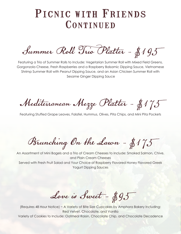### PICNIC WITH FRIENDS CONTINUED

Summer Roll Trio Platter - \$195

Featuring a Trio of Summer Rolls to Include: Vegetarian Summer Roll with Mixed Field Greens, Gorgonzola Cheese, Fresh Raspberries and a Raspberry Balsamic Dipping Sauce, Vietnamese Shrimp Summer Roll with Peanut Dipping Sauce, and an Asian Chicken Summer Roll with Sesame Ginger Dipping Sauce

Mediterranean Mezze Platter - \$175

Featuring Stuffed Grape Leaves, Falafel, Hummus, Olives, Pita Chips, and Mini Pita Pockets

Brunching On the Lawn - \$175

An Assortment of Mini Bagels and a Trio of Cream Cheeses to Include: Smoked Salmon, Chive, and Plain Cream Cheeses Served with Fresh Fruit Salad and Your Choice of Raspberry Flavored Honey Flavored Greek Yogurt Dipping Sauces

Love is Sweet - \$95

(Requires 48 Hour Notice) ~ A Variety of Bite Size Cupcakes by Amphora Bakery Including: Red Velvet, Chocolate, and Vanilla Variety of Cookies to Include: Oatmeal Raisin, Chocolate Chip, and Chocolate Decadence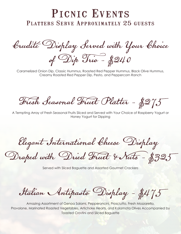### PICNIC EVENTS Platters Serve Approximately 25 guests

Crudité Display Served with Your Choice of Dip Trio - \$240

Caramelized Onion Dip, Classic Hummus, Roasted Red Pepper Hummus, Black Olive Hummus, Creamy Roasted Red Pepper Dip, Pesto, and Peppercorn Ranch

Fresh Seasonal Fruit Platter - \$275

A Tempting Array of Fresh Seasonal Fruits Sliced and Served with Your Choice of Raspberry Yogurt or Honey Yogurt for Dipping

Elegant International Cheese Display

Draped with Dried Fruit & Nuts - \$325

Served with Sliced Baguette and Assorted Gourmet Crackers

Italian Antipasto Display - \$475

Amazing Assortment of Genoa Salami, Pepperoncini, Prosciutto, Fresh Mozzarella, Provolone, Marinated Roasted Vegetables, Artichoke Hearts, and Kalamata Olives Accompanied by Toasted Crostini and Sliced Baguette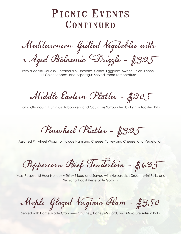### PICNIC EVENTS CONTINUED

Mediterranean Grilled Vegetables with Aged Balsamic Drizzle - \$325

With Zucchini, Squash, Portabella Mushrooms, Carrot, Eggplant, Sweet Onion, Fennel, Tri Color Peppers, and Asparagus Served Room Temperature

Middle Eastern Platter - \$205

Baba Ghanoush, Hummus, Tabbouleh, and Couscous Surrounded by Lightly Toasted Pita

Pinwheel Platter - \$325

Assorted Pinwheel Wraps to Include Ham and Cheese, Turkey and Cheese, and Vegetarian

Peppercorn Beef Tenderloin - \$625

(May Require 48 Hour Notice) ~ Thinly Sliced and Served with Horseradish Cream, Mini Rolls, and Seasonal Roast Vegetable Garnish

Maple Glazed Virginia Ham - \$350

Served with Home Made Cranberry Chutney, Honey Mustard, and Miniature Artisan Rolls